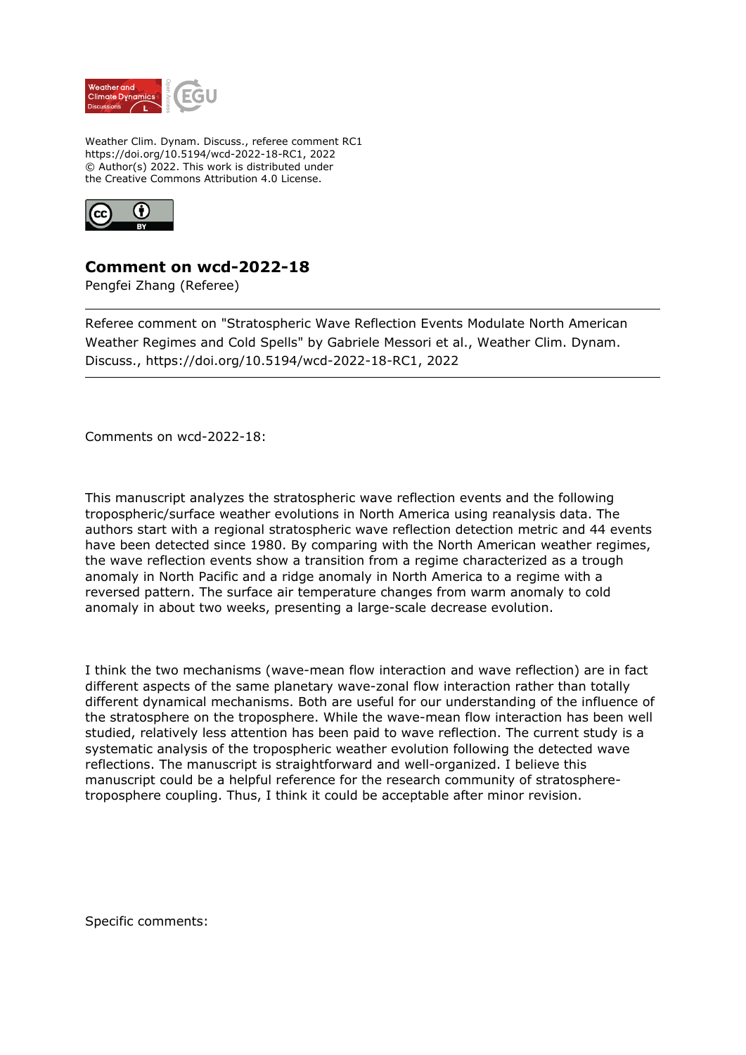

Weather Clim. Dynam. Discuss., referee comment RC1 https://doi.org/10.5194/wcd-2022-18-RC1, 2022 © Author(s) 2022. This work is distributed under the Creative Commons Attribution 4.0 License.



## **Comment on wcd-2022-18**

Pengfei Zhang (Referee)

Referee comment on "Stratospheric Wave Reflection Events Modulate North American Weather Regimes and Cold Spells" by Gabriele Messori et al., Weather Clim. Dynam. Discuss., https://doi.org/10.5194/wcd-2022-18-RC1, 2022

Comments on wcd-2022-18:

This manuscript analyzes the stratospheric wave reflection events and the following tropospheric/surface weather evolutions in North America using reanalysis data. The authors start with a regional stratospheric wave reflection detection metric and 44 events have been detected since 1980. By comparing with the North American weather regimes, the wave reflection events show a transition from a regime characterized as a trough anomaly in North Pacific and a ridge anomaly in North America to a regime with a reversed pattern. The surface air temperature changes from warm anomaly to cold anomaly in about two weeks, presenting a large-scale decrease evolution.

I think the two mechanisms (wave-mean flow interaction and wave reflection) are in fact different aspects of the same planetary wave-zonal flow interaction rather than totally different dynamical mechanisms. Both are useful for our understanding of the influence of the stratosphere on the troposphere. While the wave-mean flow interaction has been well studied, relatively less attention has been paid to wave reflection. The current study is a systematic analysis of the tropospheric weather evolution following the detected wave reflections. The manuscript is straightforward and well-organized. I believe this manuscript could be a helpful reference for the research community of stratospheretroposphere coupling. Thus, I think it could be acceptable after minor revision.

Specific comments: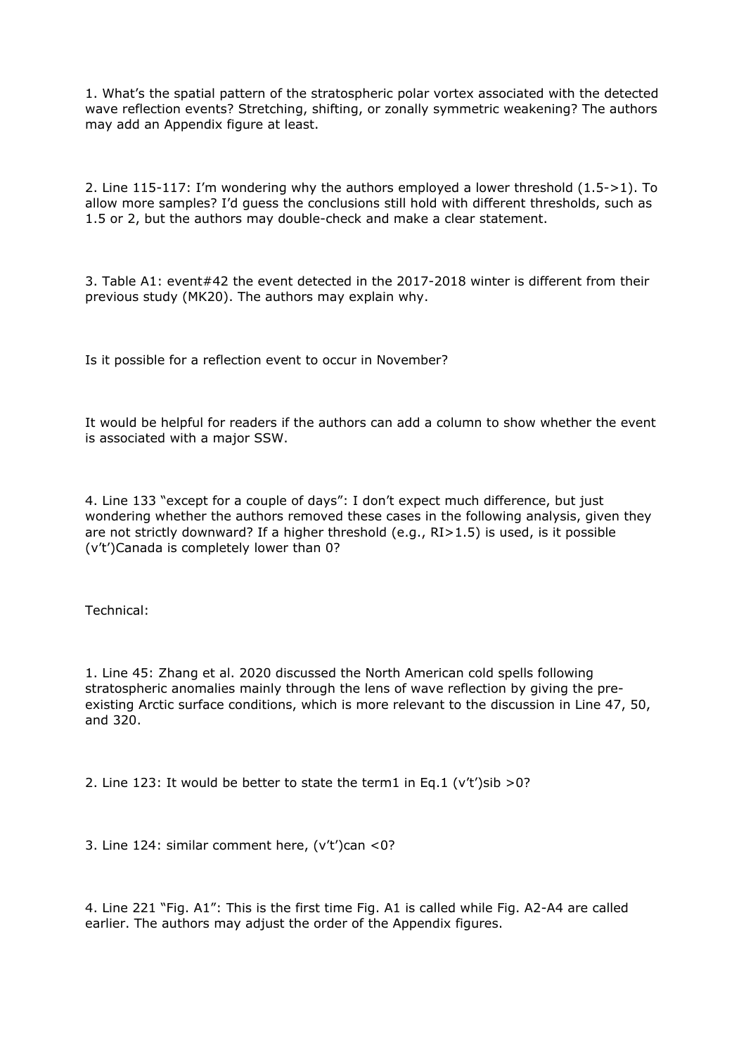1. What's the spatial pattern of the stratospheric polar vortex associated with the detected wave reflection events? Stretching, shifting, or zonally symmetric weakening? The authors may add an Appendix figure at least.

2. Line 115-117: I'm wondering why the authors employed a lower threshold (1.5->1). To allow more samples? I'd guess the conclusions still hold with different thresholds, such as 1.5 or 2, but the authors may double-check and make a clear statement.

3. Table A1: event#42 the event detected in the 2017-2018 winter is different from their previous study (MK20). The authors may explain why.

Is it possible for a reflection event to occur in November?

It would be helpful for readers if the authors can add a column to show whether the event is associated with a major SSW.

4. Line 133 "except for a couple of days": I don't expect much difference, but just wondering whether the authors removed these cases in the following analysis, given they are not strictly downward? If a higher threshold (e.g., RI>1.5) is used, is it possible (v't')Canada is completely lower than 0?

Technical:

1. Line 45: Zhang et al. 2020 discussed the North American cold spells following stratospheric anomalies mainly through the lens of wave reflection by giving the preexisting Arctic surface conditions, which is more relevant to the discussion in Line 47, 50, and 320.

2. Line 123: It would be better to state the term1 in Eq.1 (v't')sib >0?

3. Line 124: similar comment here, (v't')can <0?

4. Line 221 "Fig. A1": This is the first time Fig. A1 is called while Fig. A2-A4 are called earlier. The authors may adjust the order of the Appendix figures.